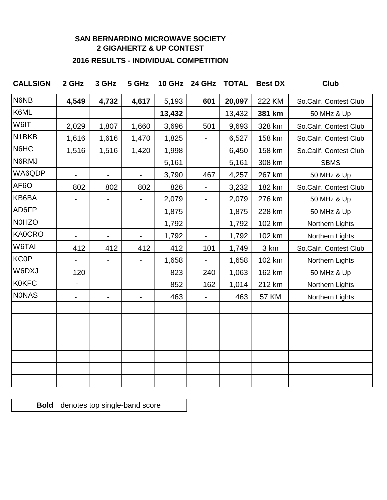## **SAN BERNARDINO MICROWAVE SOCIETY 2 GIGAHERTZ & UP CONTEST**

## **2016 RESULTS - INDIVIDUAL COMPETITION**

| <b>CALLSIGN</b>    | 2 GHz                    | 3 GHz                    | 5 GHz                    |        | 10 GHz 24 GHz TOTAL      |        | <b>Best DX</b> | <b>Club</b>            |
|--------------------|--------------------------|--------------------------|--------------------------|--------|--------------------------|--------|----------------|------------------------|
| N6NB               | 4,549                    | 4,732                    | 4,617                    | 5,193  | 601                      | 20,097 | 222 KM         | So.Calif. Contest Club |
| K6ML               |                          | $\overline{\phantom{0}}$ | $\blacksquare$           | 13,432 | $\blacksquare$           | 13,432 | 381 km         | 50 MHz & Up            |
| W6IT               | 2,029                    | 1,807                    | 1,660                    | 3,696  | 501                      | 9,693  | 328 km         | So.Calif. Contest Club |
| N <sub>1</sub> BKB | 1,616                    | 1,616                    | 1,470                    | 1,825  | $\blacksquare$           | 6,527  | 158 km         | So.Calif. Contest Club |
| N6HC               | 1,516                    | 1,516                    | 1,420                    | 1,998  | $\blacksquare$           | 6,450  | 158 km         | So.Calif. Contest Club |
| N6RMJ              | $\overline{\phantom{0}}$ | $\blacksquare$           | $\blacksquare$           | 5,161  | $\blacksquare$           | 5,161  | 308 km         | <b>SBMS</b>            |
| WA6QDP             | $\overline{\phantom{0}}$ | $\blacksquare$           | $\blacksquare$           | 3,790  | 467                      | 4,257  | 267 km         | 50 MHz & Up            |
| AF6O               | 802                      | 802                      | 802                      | 826    | $\blacksquare$           | 3,232  | 182 km         | So.Calif. Contest Club |
| KB6BA              |                          | -                        |                          | 2,079  | $\overline{\phantom{0}}$ | 2,079  | 276 km         | 50 MHz & Up            |
| AD6FP              |                          | -                        | $\blacksquare$           | 1,875  | $\blacksquare$           | 1,875  | 228 km         | 50 MHz & Up            |
| <b>N0HZO</b>       |                          | ۰.                       | $\blacksquare$           | 1,792  | $\blacksquare$           | 1,792  | 102 km         | Northern Lights        |
| <b>KA0CRO</b>      |                          | -                        |                          | 1,792  | $\overline{\phantom{m}}$ | 1,792  | 102 km         | Northern Lights        |
| W6TAI              | 412                      | 412                      | 412                      | 412    | 101                      | 1,749  | 3 km           | So.Calif. Contest Club |
| <b>KC0P</b>        |                          | $\blacksquare$           |                          | 1,658  |                          | 1,658  | 102 km         | Northern Lights        |
| W6DXJ              | 120                      | $\overline{\phantom{0}}$ | $\blacksquare$           | 823    | 240                      | 1,063  | 162 km         | 50 MHz & Up            |
| <b>K0KFC</b>       | $\overline{a}$           | -                        | $\overline{\phantom{a}}$ | 852    | 162                      | 1,014  | 212 km         | Northern Lights        |
| <b>NONAS</b>       |                          | -                        | $\blacksquare$           | 463    |                          | 463    | <b>57 KM</b>   | Northern Lights        |
|                    |                          |                          |                          |        |                          |        |                |                        |
|                    |                          |                          |                          |        |                          |        |                |                        |
|                    |                          |                          |                          |        |                          |        |                |                        |
|                    |                          |                          |                          |        |                          |        |                |                        |
|                    |                          |                          |                          |        |                          |        |                |                        |
|                    |                          |                          |                          |        |                          |        |                |                        |
|                    |                          |                          |                          |        |                          |        |                |                        |

**Bold** denotes top single-band score